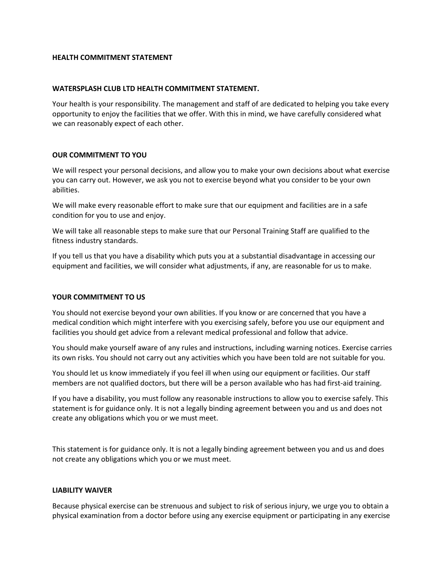### **HEALTH COMMITMENT STATEMENT**

### **WATERSPLASH CLUB LTD HEALTH COMMITMENT STATEMENT.**

Your health is your responsibility. The management and staff of are dedicated to helping you take every opportunity to enjoy the facilities that we offer. With this in mind, we have carefully considered what we can reasonably expect of each other.

## **OUR COMMITMENT TO YOU**

We will respect your personal decisions, and allow you to make your own decisions about what exercise you can carry out. However, we ask you not to exercise beyond what you consider to be your own abilities.

We will make every reasonable effort to make sure that our equipment and facilities are in a safe condition for you to use and enjoy.

We will take all reasonable steps to make sure that our Personal Training Staff are qualified to the fitness industry standards.

If you tell us that you have a disability which puts you at a substantial disadvantage in accessing our equipment and facilities, we will consider what adjustments, if any, are reasonable for us to make.

# **YOUR COMMITMENT TO US**

You should not exercise beyond your own abilities. If you know or are concerned that you have a medical condition which might interfere with you exercising safely, before you use our equipment and facilities you should get advice from a relevant medical professional and follow that advice.

You should make yourself aware of any rules and instructions, including warning notices. Exercise carries its own risks. You should not carry out any activities which you have been told are not suitable for you.

You should let us know immediately if you feel ill when using our equipment or facilities. Our staff members are not qualified doctors, but there will be a person available who has had first-aid training.

If you have a disability, you must follow any reasonable instructions to allow you to exercise safely. This statement is for guidance only. It is not a legally binding agreement between you and us and does not create any obligations which you or we must meet.

This statement is for guidance only. It is not a legally binding agreement between you and us and does not create any obligations which you or we must meet.

### **LIABILITY WAIVER**

Because physical exercise can be strenuous and subject to risk of serious injury, we urge you to obtain a physical examination from a doctor before using any exercise equipment or participating in any exercise